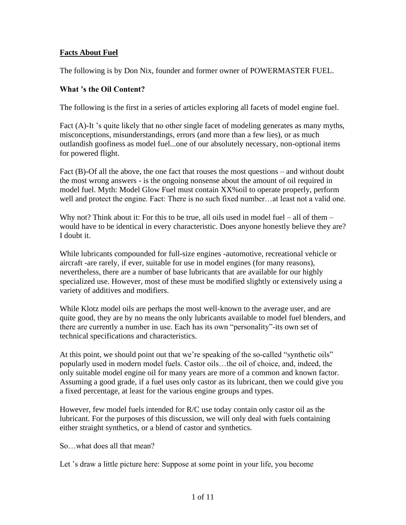# **Facts About Fuel**

The following is by Don Nix, founder and former owner of POWERMASTER FUEL.

# **What 's the Oil Content?**

The following is the first in a series of articles exploring all facets of model engine fuel.

Fact (A)-It 's quite likely that no other single facet of modeling generates as many myths, misconceptions, misunderstandings, errors (and more than a few lies), or as much outlandish goofiness as model fuel...one of our absolutely necessary, non-optional items for powered flight.

Fact (B)-Of all the above, the one fact that rouses the most questions – and without doubt the most wrong answers - is the ongoing nonsense about the amount of oil required in model fuel. Myth: Model Glow Fuel must contain XX%oil to operate properly, perform well and protect the engine. Fact: There is no such fixed number…at least not a valid one.

Why not? Think about it: For this to be true, all oils used in model fuel – all of them – would have to be identical in every characteristic. Does anyone honestly believe they are? I doubt it.

While lubricants compounded for full-size engines -automotive, recreational vehicle or aircraft -are rarely, if ever, suitable for use in model engines (for many reasons), nevertheless, there are a number of base lubricants that are available for our highly specialized use. However, most of these must be modified slightly or extensively using a variety of additives and modifiers.

While Klotz model oils are perhaps the most well-known to the average user, and are quite good, they are by no means the only lubricants available to model fuel blenders, and there are currently a number in use. Each has its own "personality"-its own set of technical specifications and characteristics.

At this point, we should point out that we're speaking of the so-called "synthetic oils" popularly used in modern model fuels. Castor oils…the oil of choice, and, indeed, the only suitable model engine oil for many years are more of a common and known factor. Assuming a good grade, if a fuel uses only castor as its lubricant, then we could give you a fixed percentage, at least for the various engine groups and types.

However, few model fuels intended for R/C use today contain only castor oil as the lubricant. For the purposes of this discussion, we will only deal with fuels containing either straight synthetics, or a blend of castor and synthetics.

So…what does all that mean?

Let 's draw a little picture here: Suppose at some point in your life, you become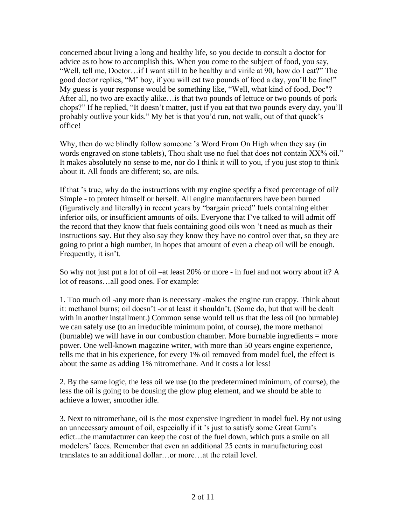concerned about living a long and healthy life, so you decide to consult a doctor for advice as to how to accomplish this. When you come to the subject of food, you say, "Well, tell me, Doctor…if I want still to be healthy and virile at 90, how do I eat?" The good doctor replies, "M' boy, if you will eat two pounds of food a day, you'll be fine!" My guess is your response would be something like, "Well, what kind of food, Doc"? After all, no two are exactly alike…is that two pounds of lettuce or two pounds of pork chops?" If he replied, "It doesn't matter, just if you eat that two pounds every day, you'll probably outlive your kids." My bet is that you'd run, not walk, out of that quack's office!

Why, then do we blindly follow someone 's Word From On High when they say (in words engraved on stone tablets), Thou shalt use no fuel that does not contain XX% oil." It makes absolutely no sense to me, nor do I think it will to you, if you just stop to think about it. All foods are different; so, are oils.

If that 's true, why do the instructions with my engine specify a fixed percentage of oil? Simple - to protect himself or herself. All engine manufacturers have been burned (figuratively and literally) in recent years by "bargain priced" fuels containing either inferior oils, or insufficient amounts of oils. Everyone that I've talked to will admit off the record that they know that fuels containing good oils won 't need as much as their instructions say. But they also say they know they have no control over that, so they are going to print a high number, in hopes that amount of even a cheap oil will be enough. Frequently, it isn't.

So why not just put a lot of oil –at least 20% or more - in fuel and not worry about it? A lot of reasons…all good ones. For example:

1. Too much oil -any more than is necessary -makes the engine run crappy. Think about it: methanol burns; oil doesn't -or at least it shouldn't. (Some do, but that will be dealt with in another installment.) Common sense would tell us that the less oil (no burnable) we can safely use (to an irreducible minimum point, of course), the more methanol (burnable) we will have in our combustion chamber. More burnable ingredients = more power. One well-known magazine writer, with more than 50 years engine experience, tells me that in his experience, for every 1% oil removed from model fuel, the effect is about the same as adding 1% nitromethane. And it costs a lot less!

2. By the same logic, the less oil we use (to the predetermined minimum, of course), the less the oil is going to be dousing the glow plug element, and we should be able to achieve a lower, smoother idle.

3. Next to nitromethane, oil is the most expensive ingredient in model fuel. By not using an unnecessary amount of oil, especially if it 's just to satisfy some Great Guru's edict...the manufacturer can keep the cost of the fuel down, which puts a smile on all modelers' faces. Remember that even an additional 25 cents in manufacturing cost translates to an additional dollar…or more…at the retail level.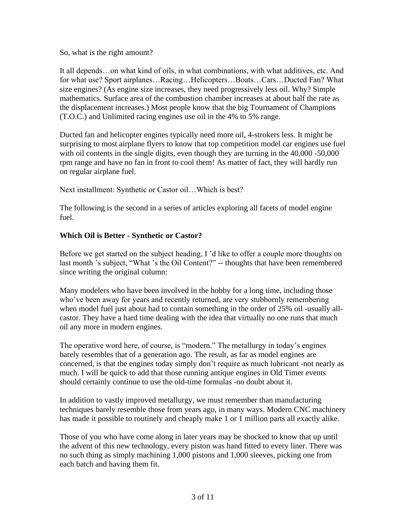So, what is the right amount?

It all depends…on what kind of oils, in what combinations, with what additives, etc. And for what use? Sport airplanes…Racing…Helicopters…Boats…Cars…Ducted Fan? What size engines? (As engine size increases, they need progressively less oil. Why? Simple mathematics. Surface area of the combustion chamber increases at about half the rate as the displacement increases.) Most people know that the big Tournament of Champions (T.O.C.) and Unlimited racing engines use oil in the 4% to 5% range.

Ducted fan and helicopter engines typically need more oil, 4-strokers less. It might be surprising to most airplane flyers to know that top competition model car engines use fuel with oil contents in the single digits, even though they are turning in the 40,000 -50,000 rpm range and have no fan in front to cool them! As matter of fact, they will hardly run on regular airplane fuel.

Next installment: Synthetic or Castor oil…Which is best?

The following is the second in a series of articles exploring all facets of model engine fuel.

## **Which Oil is Better - Synthetic or Castor?**

Before we get started on the subject heading, I 'd like to offer a couple more thoughts on last month 's subject, "What 's the Oil Content?" -- thoughts that have been remembered since writing the original column:

Many modelers who have been involved in the hobby for a long time, including those who've been away for years and recently returned, are very stubbornly remembering when model fuel just about had to contain something in the order of 25% oil -usually allcastor. They have a hard time dealing with the idea that virtually no one runs that much oil any more in modern engines.

The operative word here, of course, is "modern." The metallurgy in today's engines barely resembles that of a generation ago. The result, as far as model engines are concerned, is that the engines today simply don't require as much lubricant -not nearly as much. I will be quick to add that those running antique engines in Old Timer events should certainly continue to use the old-time formulas -no doubt about it.

In addition to vastly improved metallurgy, we must remember than manufacturing techniques barely resemble those from years ago, in many ways. Modern CNC machinery has made it possible to routinely and cheaply make 1 or 1 million parts all exactly alike.

Those of you who have come along in later years may be shocked to know that up until the advent of this new technology, every piston was hand fitted to every liner. There was no such thing as simply machining 1,000 pistons and 1,000 sleeves, picking one from each batch and having them fit.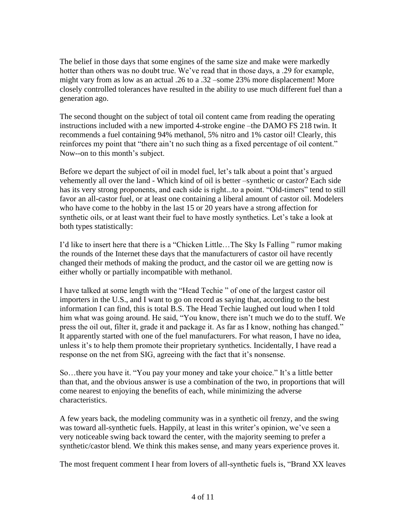The belief in those days that some engines of the same size and make were markedly hotter than others was no doubt true. We've read that in those days, a .29 for example, might vary from as low as an actual .26 to a .32 –some 23% more displacement! More closely controlled tolerances have resulted in the ability to use much different fuel than a generation ago.

The second thought on the subject of total oil content came from reading the operating instructions included with a new imported 4-stroke engine –the DAMO FS 218 twin. It recommends a fuel containing 94% methanol, 5% nitro and 1% castor oil! Clearly, this reinforces my point that "there ain't no such thing as a fixed percentage of oil content." Now--on to this month's subject.

Before we depart the subject of oil in model fuel, let's talk about a point that's argued vehemently all over the land - Which kind of oil is better –synthetic or castor? Each side has its very strong proponents, and each side is right...to a point. "Old-timers" tend to still favor an all-castor fuel, or at least one containing a liberal amount of castor oil. Modelers who have come to the hobby in the last 15 or 20 years have a strong affection for synthetic oils, or at least want their fuel to have mostly synthetics. Let's take a look at both types statistically:

I'd like to insert here that there is a "Chicken Little…The Sky Is Falling " rumor making the rounds of the Internet these days that the manufacturers of castor oil have recently changed their methods of making the product, and the castor oil we are getting now is either wholly or partially incompatible with methanol.

I have talked at some length with the "Head Techie " of one of the largest castor oil importers in the U.S., and I want to go on record as saying that, according to the best information I can find, this is total B.S. The Head Techie laughed out loud when I told him what was going around. He said, "You know, there isn't much we do to the stuff. We press the oil out, filter it, grade it and package it. As far as I know, nothing has changed." It apparently started with one of the fuel manufacturers. For what reason, I have no idea, unless it's to help them promote their proprietary synthetics. Incidentally, I have read a response on the net from SIG, agreeing with the fact that it's nonsense.

So…there you have it. "You pay your money and take your choice." It's a little better than that, and the obvious answer is use a combination of the two, in proportions that will come nearest to enjoying the benefits of each, while minimizing the adverse characteristics.

A few years back, the modeling community was in a synthetic oil frenzy, and the swing was toward all-synthetic fuels. Happily, at least in this writer's opinion, we've seen a very noticeable swing back toward the center, with the majority seeming to prefer a synthetic/castor blend. We think this makes sense, and many years experience proves it.

The most frequent comment I hear from lovers of all-synthetic fuels is, "Brand XX leaves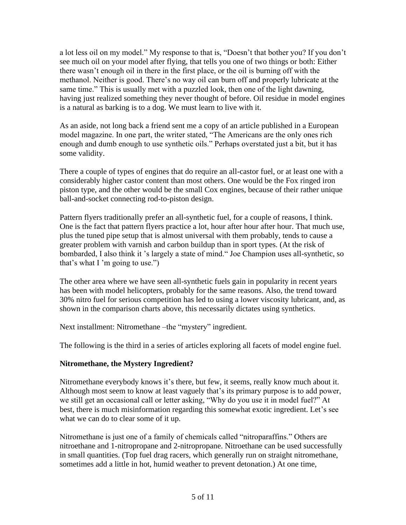a lot less oil on my model." My response to that is, "Doesn't that bother you? If you don't see much oil on your model after flying, that tells you one of two things or both: Either there wasn't enough oil in there in the first place, or the oil is burning off with the methanol. Neither is good. There's no way oil can burn off and properly lubricate at the same time." This is usually met with a puzzled look, then one of the light dawning, having just realized something they never thought of before. Oil residue in model engines is a natural as barking is to a dog. We must learn to live with it.

As an aside, not long back a friend sent me a copy of an article published in a European model magazine. In one part, the writer stated, "The Americans are the only ones rich enough and dumb enough to use synthetic oils." Perhaps overstated just a bit, but it has some validity.

There a couple of types of engines that do require an all-castor fuel, or at least one with a considerably higher castor content than most others. One would be the Fox ringed iron piston type, and the other would be the small Cox engines, because of their rather unique ball-and-socket connecting rod-to-piston design.

Pattern flyers traditionally prefer an all-synthetic fuel, for a couple of reasons, I think. One is the fact that pattern flyers practice a lot, hour after hour after hour. That much use, plus the tuned pipe setup that is almost universal with them probably, tends to cause a greater problem with varnish and carbon buildup than in sport types. (At the risk of bombarded, I also think it 's largely a state of mind." Joe Champion uses all-synthetic, so that's what I 'm going to use.")

The other area where we have seen all-synthetic fuels gain in popularity in recent years has been with model helicopters, probably for the same reasons. Also, the trend toward 30% nitro fuel for serious competition has led to using a lower viscosity lubricant, and, as shown in the comparison charts above, this necessarily dictates using synthetics.

Next installment: Nitromethane –the "mystery" ingredient.

The following is the third in a series of articles exploring all facets of model engine fuel.

### **Nitromethane, the Mystery Ingredient?**

Nitromethane everybody knows it's there, but few, it seems, really know much about it. Although most seem to know at least vaguely that's its primary purpose is to add power, we still get an occasional call or letter asking, "Why do you use it in model fuel?" At best, there is much misinformation regarding this somewhat exotic ingredient. Let's see what we can do to clear some of it up.

Nitromethane is just one of a family of chemicals called "nitroparaffins." Others are nitroethane and 1-nitropropane and 2-nitropropane. Nitroethane can be used successfully in small quantities. (Top fuel drag racers, which generally run on straight nitromethane, sometimes add a little in hot, humid weather to prevent detonation.) At one time,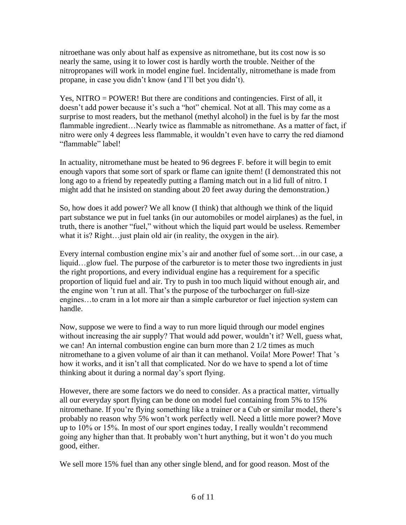nitroethane was only about half as expensive as nitromethane, but its cost now is so nearly the same, using it to lower cost is hardly worth the trouble. Neither of the nitropropanes will work in model engine fuel. Incidentally, nitromethane is made from propane, in case you didn't know (and I'll bet you didn't).

Yes, NITRO = POWER! But there are conditions and contingencies. First of all, it doesn't add power because it's such a "hot" chemical. Not at all. This may come as a surprise to most readers, but the methanol (methyl alcohol) in the fuel is by far the most flammable ingredient...Nearly twice as flammable as nitromethane. As a matter of fact, if nitro were only 4 degrees less flammable, it wouldn't even have to carry the red diamond "flammable" label!

In actuality, nitromethane must be heated to 96 degrees F. before it will begin to emit enough vapors that some sort of spark or flame can ignite them! (I demonstrated this not long ago to a friend by repeatedly putting a flaming match out in a lid full of nitro. I might add that he insisted on standing about 20 feet away during the demonstration.)

So, how does it add power? We all know (I think) that although we think of the liquid part substance we put in fuel tanks (in our automobiles or model airplanes) as the fuel, in truth, there is another "fuel," without which the liquid part would be useless. Remember what it is? Right…just plain old air (in reality, the oxygen in the air).

Every internal combustion engine mix's air and another fuel of some sort…in our case, a liquid...glow fuel. The purpose of the carburetor is to meter those two ingredients in just the right proportions, and every individual engine has a requirement for a specific proportion of liquid fuel and air. Try to push in too much liquid without enough air, and the engine won 't run at all. That's the purpose of the turbocharger on full-size engines…to cram in a lot more air than a simple carburetor or fuel injection system can handle.

Now, suppose we were to find a way to run more liquid through our model engines without increasing the air supply? That would add power, wouldn't it? Well, guess what, we can! An internal combustion engine can burn more than 2 1/2 times as much nitromethane to a given volume of air than it can methanol. Voila! More Power! That 's how it works, and it isn't all that complicated. Nor do we have to spend a lot of time thinking about it during a normal day's sport flying.

However, there are some factors we do need to consider. As a practical matter, virtually all our everyday sport flying can be done on model fuel containing from 5% to 15% nitromethane. If you're flying something like a trainer or a Cub or similar model, there's probably no reason why 5% won't work perfectly well. Need a little more power? Move up to 10% or 15%. In most of our sport engines today, I really wouldn't recommend going any higher than that. It probably won't hurt anything, but it won't do you much good, either.

We sell more 15% fuel than any other single blend, and for good reason. Most of the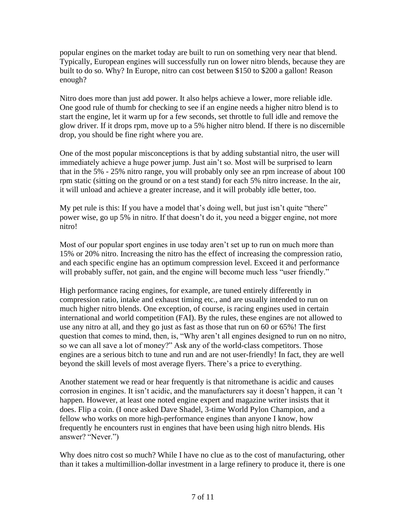popular engines on the market today are built to run on something very near that blend. Typically, European engines will successfully run on lower nitro blends, because they are built to do so. Why? In Europe, nitro can cost between \$150 to \$200 a gallon! Reason enough?

Nitro does more than just add power. It also helps achieve a lower, more reliable idle. One good rule of thumb for checking to see if an engine needs a higher nitro blend is to start the engine, let it warm up for a few seconds, set throttle to full idle and remove the glow driver. If it drops rpm, move up to a 5% higher nitro blend. If there is no discernible drop, you should be fine right where you are.

One of the most popular misconceptions is that by adding substantial nitro, the user will immediately achieve a huge power jump. Just ain't so. Most will be surprised to learn that in the 5% - 25% nitro range, you will probably only see an rpm increase of about 100 rpm static (sitting on the ground or on a test stand) for each 5% nitro increase. In the air, it will unload and achieve a greater increase, and it will probably idle better, too.

My pet rule is this: If you have a model that's doing well, but just isn't quite "there" power wise, go up 5% in nitro. If that doesn't do it, you need a bigger engine, not more nitro!

Most of our popular sport engines in use today aren't set up to run on much more than 15% or 20% nitro. Increasing the nitro has the effect of increasing the compression ratio, and each specific engine has an optimum compression level. Exceed it and performance will probably suffer, not gain, and the engine will become much less "user friendly."

High performance racing engines, for example, are tuned entirely differently in compression ratio, intake and exhaust timing etc., and are usually intended to run on much higher nitro blends. One exception, of course, is racing engines used in certain international and world competition (FAI). By the rules, these engines are not allowed to use any nitro at all, and they go just as fast as those that run on 60 or 65%! The first question that comes to mind, then, is, "Why aren't all engines designed to run on no nitro, so we can all save a lot of money?" Ask any of the world-class competitors. Those engines are a serious bitch to tune and run and are not user-friendly! In fact, they are well beyond the skill levels of most average flyers. There's a price to everything.

Another statement we read or hear frequently is that nitromethane is acidic and causes corrosion in engines. It isn't acidic, and the manufacturers say it doesn't happen, it can 't happen. However, at least one noted engine expert and magazine writer insists that it does. Flip a coin. (I once asked Dave Shadel, 3-time World Pylon Champion, and a fellow who works on more high-performance engines than anyone I know, how frequently he encounters rust in engines that have been using high nitro blends. His answer? "Never.")

Why does nitro cost so much? While I have no clue as to the cost of manufacturing, other than it takes a multimillion-dollar investment in a large refinery to produce it, there is one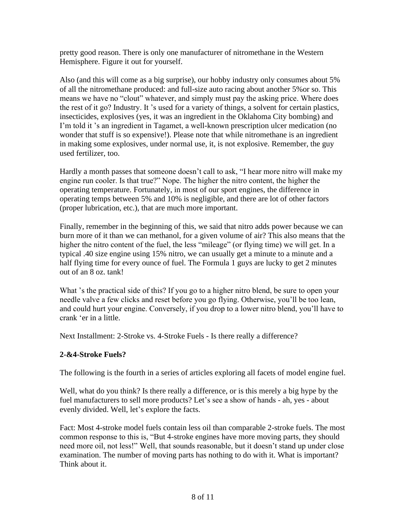pretty good reason. There is only one manufacturer of nitromethane in the Western Hemisphere. Figure it out for yourself.

Also (and this will come as a big surprise), our hobby industry only consumes about 5% of all the nitromethane produced: and full-size auto racing about another 5%or so. This means we have no "clout" whatever, and simply must pay the asking price. Where does the rest of it go? Industry. It 's used for a variety of things, a solvent for certain plastics, insecticides, explosives (yes, it was an ingredient in the Oklahoma City bombing) and I'm told it 's an ingredient in Tagamet, a well-known prescription ulcer medication (no wonder that stuff is so expensive!). Please note that while nitromethane is an ingredient in making some explosives, under normal use, it, is not explosive. Remember, the guy used fertilizer, too.

Hardly a month passes that someone doesn't call to ask, "I hear more nitro will make my engine run cooler. Is that true?" Nope. The higher the nitro content, the higher the operating temperature. Fortunately, in most of our sport engines, the difference in operating temps between 5% and 10% is negligible, and there are lot of other factors (proper lubrication, etc.), that are much more important.

Finally, remember in the beginning of this, we said that nitro adds power because we can burn more of it than we can methanol, for a given volume of air? This also means that the higher the nitro content of the fuel, the less "mileage" (or flying time) we will get. In a typical .40 size engine using 15% nitro, we can usually get a minute to a minute and a half flying time for every ounce of fuel. The Formula 1 guys are lucky to get 2 minutes out of an 8 oz. tank!

What 's the practical side of this? If you go to a higher nitro blend, be sure to open your needle valve a few clicks and reset before you go flying. Otherwise, you'll be too lean, and could hurt your engine. Conversely, if you drop to a lower nitro blend, you'll have to crank 'er in a little.

Next Installment: 2-Stroke vs. 4-Stroke Fuels - Is there really a difference?

## **2-&4-Stroke Fuels?**

The following is the fourth in a series of articles exploring all facets of model engine fuel.

Well, what do you think? Is there really a difference, or is this merely a big hype by the fuel manufacturers to sell more products? Let's see a show of hands - ah, yes - about evenly divided. Well, let's explore the facts.

Fact: Most 4-stroke model fuels contain less oil than comparable 2-stroke fuels. The most common response to this is, "But 4-stroke engines have more moving parts, they should need more oil, not less!" Well, that sounds reasonable, but it doesn't stand up under close examination. The number of moving parts has nothing to do with it. What is important? Think about it.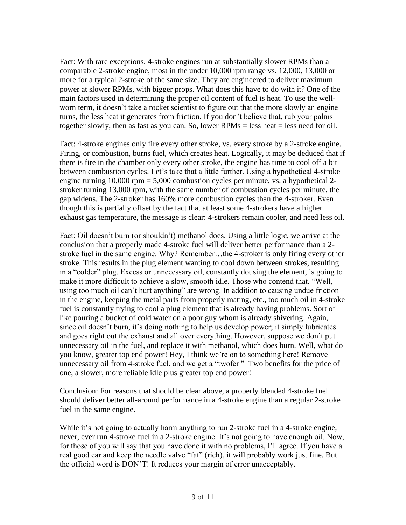Fact: With rare exceptions, 4-stroke engines run at substantially slower RPMs than a comparable 2-stroke engine, most in the under 10,000 rpm range vs. 12,000, 13,000 or more for a typical 2-stroke of the same size. They are engineered to deliver maximum power at slower RPMs, with bigger props. What does this have to do with it? One of the main factors used in determining the proper oil content of fuel is heat. To use the wellworn term, it doesn't take a rocket scientist to figure out that the more slowly an engine turns, the less heat it generates from friction. If you don't believe that, rub your palms together slowly, then as fast as you can. So, lower RPMs = less heat = less need for oil.

Fact: 4-stroke engines only fire every other stroke, vs. every stroke by a 2-stroke engine. Firing, or combustion, burns fuel, which creates heat. Logically, it may be deduced that if there is fire in the chamber only every other stroke, the engine has time to cool off a bit between combustion cycles. Let's take that a little further. Using a hypothetical 4-stroke engine turning  $10,000$  rpm = 5,000 combustion cycles per minute, vs. a hypothetical 2stroker turning 13,000 rpm, with the same number of combustion cycles per minute, the gap widens. The 2-stroker has 160% more combustion cycles than the 4-stroker. Even though this is partially offset by the fact that at least some 4-strokers have a higher exhaust gas temperature, the message is clear: 4-strokers remain cooler, and need less oil.

Fact: Oil doesn't burn (or shouldn't) methanol does. Using a little logic, we arrive at the conclusion that a properly made 4-stroke fuel will deliver better performance than a 2 stroke fuel in the same engine. Why? Remember…the 4-stroker is only firing every other stroke. This results in the plug element wanting to cool down between strokes, resulting in a "colder" plug. Excess or unnecessary oil, constantly dousing the element, is going to make it more difficult to achieve a slow, smooth idle. Those who contend that, "Well, using too much oil can't hurt anything" are wrong. In addition to causing undue friction in the engine, keeping the metal parts from properly mating, etc., too much oil in 4-stroke fuel is constantly trying to cool a plug element that is already having problems. Sort of like pouring a bucket of cold water on a poor guy whom is already shivering. Again, since oil doesn't burn, it's doing nothing to help us develop power; it simply lubricates and goes right out the exhaust and all over everything. However, suppose we don't put unnecessary oil in the fuel, and replace it with methanol, which does burn. Well, what do you know, greater top end power! Hey, I think we're on to something here! Remove unnecessary oil from 4-stroke fuel, and we get a "twofer " Two benefits for the price of one, a slower, more reliable idle plus greater top end power!

Conclusion: For reasons that should be clear above, a properly blended 4-stroke fuel should deliver better all-around performance in a 4-stroke engine than a regular 2-stroke fuel in the same engine.

While it's not going to actually harm anything to run 2-stroke fuel in a 4-stroke engine, never, ever run 4-stroke fuel in a 2-stroke engine. It's not going to have enough oil. Now, for those of you will say that you have done it with no problems, I'll agree. If you have a real good ear and keep the needle valve "fat" (rich), it will probably work just fine. But the official word is DON'T! It reduces your margin of error unacceptably.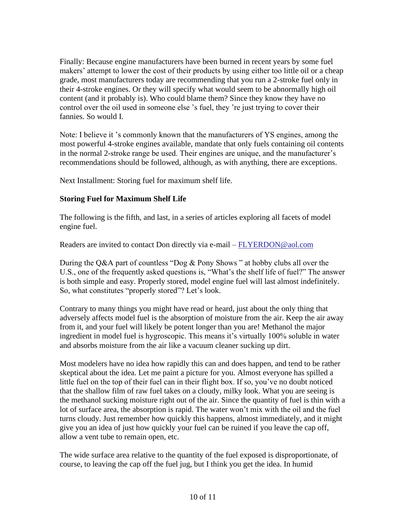Finally: Because engine manufacturers have been burned in recent years by some fuel makers' attempt to lower the cost of their products by using either too little oil or a cheap grade, most manufacturers today are recommending that you run a 2-stroke fuel only in their 4-stroke engines. Or they will specify what would seem to be abnormally high oil content (and it probably is). Who could blame them? Since they know they have no control over the oil used in someone else 's fuel, they 're just trying to cover their fannies. So would I.

Note: I believe it 's commonly known that the manufacturers of YS engines, among the most powerful 4-stroke engines available, mandate that only fuels containing oil contents in the normal 2-stroke range be used. Their engines are unique, and the manufacturer's recommendations should be followed, although, as with anything, there are exceptions.

Next Installment: Storing fuel for maximum shelf life.

## **Storing Fuel for Maximum Shelf Life**

The following is the fifth, and last, in a series of articles exploring all facets of model engine fuel.

Readers are invited to contact Don directly via e-mail – [FLYERDON@aol.com](mailto:FLYERDON@aol.com)

During the Q&A part of countless "Dog & Pony Shows " at hobby clubs all over the U.S., one of the frequently asked questions is, "What's the shelf life of fuel?" The answer is both simple and easy. Properly stored, model engine fuel will last almost indefinitely. So, what constitutes "properly stored"? Let's look.

Contrary to many things you might have read or heard, just about the only thing that adversely affects model fuel is the absorption of moisture from the air. Keep the air away from it, and your fuel will likely be potent longer than you are! Methanol the major ingredient in model fuel is hygroscopic. This means it's virtually 100% soluble in water and absorbs moisture from the air like a vacuum cleaner sucking up dirt.

Most modelers have no idea how rapidly this can and does happen, and tend to be rather skeptical about the idea. Let me paint a picture for you. Almost everyone has spilled a little fuel on the top of their fuel can in their flight box. If so, you've no doubt noticed that the shallow film of raw fuel takes on a cloudy, milky look. What you are seeing is the methanol sucking moisture right out of the air. Since the quantity of fuel is thin with a lot of surface area, the absorption is rapid. The water won't mix with the oil and the fuel turns cloudy. Just remember how quickly this happens, almost immediately, and it might give you an idea of just how quickly your fuel can be ruined if you leave the cap off, allow a vent tube to remain open, etc.

The wide surface area relative to the quantity of the fuel exposed is disproportionate, of course, to leaving the cap off the fuel jug, but I think you get the idea. In humid